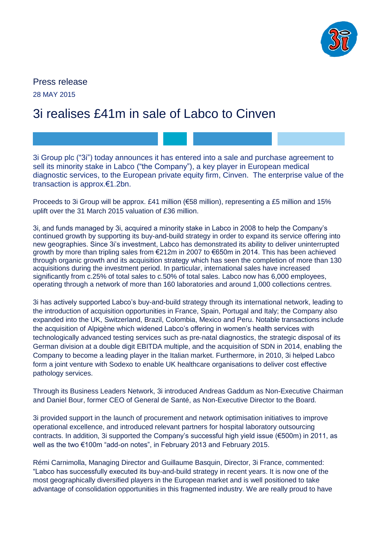

Press release 28 MAY 2015

# 3i realises £41m in sale of Labco to Cinven

3i Group plc ("3i") today announces it has entered into a sale and purchase agreement to sell its minority stake in Labco ("the Company"), a key player in European medical diagnostic services, to the European private equity firm, Cinven. The enterprise value of the transaction is approx.€1.2bn.

Proceeds to 3i Group will be approx. £41 million (€58 million), representing a £5 million and 15% uplift over the 31 March 2015 valuation of £36 million.

3i, and funds managed by 3i, acquired a minority stake in Labco in 2008 to help the Company's continued growth by supporting its buy-and-build strategy in order to expand its service offering into new geographies. Since 3i's investment, Labco has demonstrated its ability to deliver uninterrupted growth by more than tripling sales from €212m in 2007 to €650m in 2014. This has been achieved through organic growth and its acquisition strategy which has seen the completion of more than 130 acquisitions during the investment period. In particular, international sales have increased significantly from c.25% of total sales to c.50% of total sales. Labco now has 6,000 employees, operating through a network of more than 160 laboratories and around 1,000 collections centres.

3i has actively supported Labco's buy-and-build strategy through its international network, leading to the introduction of acquisition opportunities in France, Spain, Portugal and Italy; the Company also expanded into the UK, Switzerland, Brazil, Colombia, Mexico and Peru. Notable transactions include the acquisition of Alpigène which widened Labco's offering in women's health services with technologically advanced testing services such as pre-natal diagnostics, the strategic disposal of its German division at a double digit EBITDA multiple, and the acquisition of SDN in 2014, enabling the Company to become a leading player in the Italian market. Furthermore, in 2010, 3i helped Labco form a joint venture with Sodexo to enable UK healthcare organisations to deliver cost effective pathology services.

Through its Business Leaders Network, 3i introduced Andreas Gaddum as Non-Executive Chairman and Daniel Bour, former CEO of General de Santé, as Non-Executive Director to the Board.

3i provided support in the launch of procurement and network optimisation initiatives to improve operational excellence, and introduced relevant partners for hospital laboratory outsourcing contracts. In addition, 3i supported the Company's successful high yield issue (€500m) in 2011, as well as the two €100m "add-on notes", in February 2013 and February 2015.

Rémi Carnimolla, Managing Director and Guillaume Basquin, Director, 3i France, commented: "Labco has successfully executed its buy-and-build strategy in recent years. It is now one of the most geographically diversified players in the European market and is well positioned to take advantage of consolidation opportunities in this fragmented industry. We are really proud to have